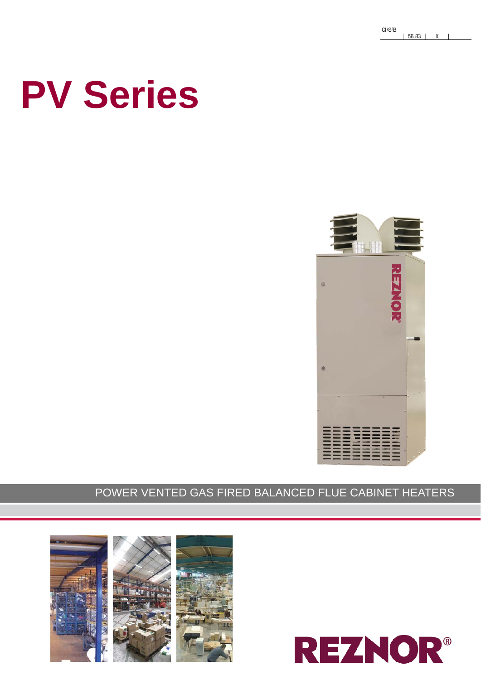# **PV Series**



### POWER VENTED GAS FIRED BALANCED FLUE CABINET HEATERS



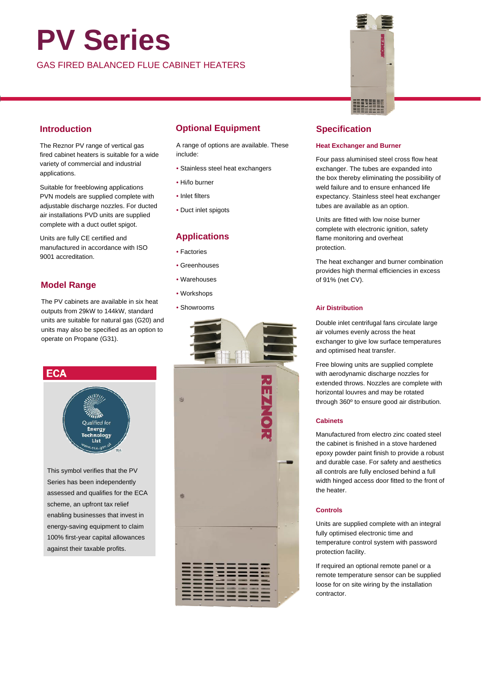## **PV Series**

GAS FIRED BALANCED FLUE CABINET HEATERS

#### **Introduction**

The Reznor PV range of vertical gas fired cabinet heaters is suitable for a wide variety of commercial and industrial applications.

Suitable for freeblowing applications PVN models are supplied complete with adjustable discharge nozzles. For ducted air installations PVD units are supplied complete with a duct outlet spigot.

Units are fully CE certified and manufactured in accordance with ISO 9001 accreditation.

#### **Model Range**

The PV cabinets are available in six heat outputs from 29kW to 144kW, standard units are suitable for natural gas (G20) and units may also be specified as an option to operate on Propane (G31).

#### **ECA**



This symbol verifies that the PV Series has been independently assessed and qualifies for the ECA scheme, an upfront tax relief enabling businesses that invest in energy-saving equipment to claim 100% first-year capital allowances against their taxable profits.

#### **Optional Equipment**

A range of options are available. These include:

- Stainless steel heat exchangers
- Hi/lo burner
- Inlet filters
- Duct inlet spigots

#### **Applications**

- Factories
- Greenhouses
- Warehouses
- Workshops
- Showrooms





#### **Specification**

#### **Heat Exchanger and Burner**

Four pass aluminised steel cross flow heat exchanger. The tubes are expanded into the box thereby eliminating the possibility of weld failure and to ensure enhanced life expectancy. Stainless steel heat exchanger tubes are available as an option.

Units are fitted with low noise burner complete with electronic ignition, safety flame monitoring and overheat protection.

The heat exchanger and burner combination provides high thermal efficiencies in excess of 91% (net CV).

#### **Air Distribution**

Double inlet centrifugal fans circulate large air volumes evenly across the heat exchanger to give low surface temperatures and optimised heat transfer.

Free blowing units are supplied complete with aerodynamic discharge nozzles for extended throws. Nozzles are complete with horizontal louvres and may be rotated through 360º to ensure good air distribution.

#### **Cabinets**

Manufactured from electro zinc coated steel the cabinet is finished in a stove hardened epoxy powder paint finish to provide a robust and durable case. For safety and aesthetics all controls are fully enclosed behind a full width hinged access door fitted to the front of the heater.

#### **Controls**

Units are supplied complete with an integral fully optimised electronic time and temperature control system with password protection facility.

If required an optional remote panel or a remote temperature sensor can be supplied loose for on site wiring by the installation contractor.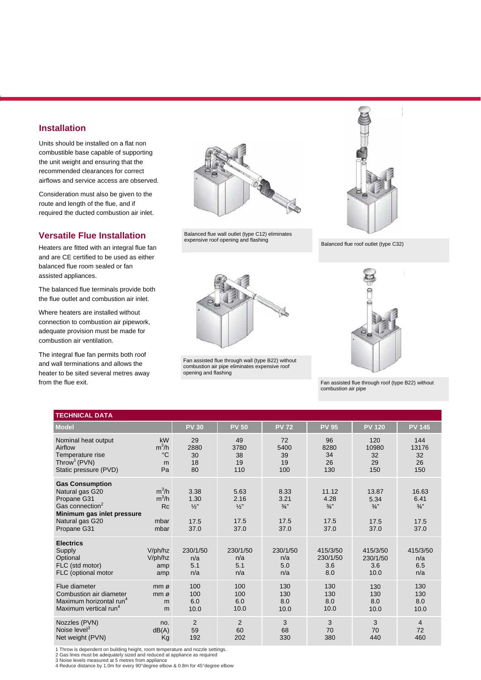#### **Installation**

Units should be installed on a flat non combustible base capable of supporting the unit weight and ensuring that the recommended clearances for correct airflows and service access are observed.

Consideration must also be given to the route and length of the flue, and if required the ducted combustion air inlet.

#### **Versatile Flue Installation**

Heaters are fitted with an integral flue fan and are CE certified to be used as either balanced flue room sealed or fan assisted appliances.

The balanced flue terminals provide both the flue outlet and combustion air inlet.

Where heaters are installed without connection to combustion air pipework, adequate provision must be made for combustion air ventilation.

The integral flue fan permits both roof and wall terminations and allows the heater to be sited several metres away from the flue exit.



Balanced flue wall outlet (type C12) eliminates expensive roof opening and flashing



Fan assisted flue through wall (type B22) without combustion air pipe eliminates expensive roof opening and flashing



Balanced flue roof outlet (type C32)



Fan assisted flue through roof (type B22) without combustion air pipe

| <b>TECHNICAL DATA</b>                                                                                                                                   |                                                 |                                               |                                               |                                               |                                                |                                                  |                                                  |
|---------------------------------------------------------------------------------------------------------------------------------------------------------|-------------------------------------------------|-----------------------------------------------|-----------------------------------------------|-----------------------------------------------|------------------------------------------------|--------------------------------------------------|--------------------------------------------------|
| <b>Model</b>                                                                                                                                            |                                                 | <b>PV 30</b>                                  | <b>PV 50</b>                                  | <b>PV 72</b>                                  | <b>PV 95</b>                                   | <b>PV 120</b>                                    | <b>PV 145</b>                                    |
| Nominal heat output<br>Airflow<br>Temperature rise<br>Throw <sup>1</sup> (PVN)<br>Static pressure (PVD)                                                 | kW<br>$m^3/h$<br>$^{\circ}C$<br>m<br>Pa         | 29<br>2880<br>30<br>18<br>80                  | 49<br>3780<br>38<br>19<br>110                 | 72<br>5400<br>39<br>19<br>100                 | 96<br>8280<br>34<br>26<br>130                  | 120<br>10980<br>32<br>29<br>150                  | 144<br>13176<br>32<br>26<br>150                  |
| <b>Gas Consumption</b><br>Natural gas G20<br>Propane G31<br>Gas connection <sup>2</sup><br>Minimum gas inlet pressure<br>Natural gas G20<br>Propane G31 | $m^3/h$<br>$m^3/h$<br><b>Rc</b><br>mbar<br>mbar | 3.38<br>1.30<br>$\frac{1}{2}$<br>17.5<br>37.0 | 5.63<br>2.16<br>$\frac{1}{2}$<br>17.5<br>37.0 | 8.33<br>3.21<br>$\frac{3}{4}$<br>17.5<br>37.0 | 11.12<br>4.28<br>$\frac{3}{4}$<br>17.5<br>37.0 | 13.87<br>5.34<br>$\frac{3}{4}$ "<br>17.5<br>37.0 | 16.63<br>6.41<br>$\frac{3}{4}$ "<br>17.5<br>37.0 |
| <b>Electrics</b><br>Supply<br>Optional<br>FLC (std motor)<br>FLC (optional motor                                                                        | V/ph/hz<br>V/ph/hz<br>amp<br>amp                | 230/1/50<br>n/a<br>5.1<br>n/a                 | 230/1/50<br>n/a<br>5.1<br>n/a                 | 230/1/50<br>n/a<br>5.0<br>n/a                 | 415/3/50<br>230/1/50<br>3.6<br>8.0             | 415/3/50<br>230/1/50<br>3.6<br>10.0              | 415/3/50<br>n/a<br>6.5<br>n/a                    |
| Flue diameter<br>Combustion air diameter<br>Maximum horizontal run <sup>4</sup><br>Maximum vertical run <sup>4</sup>                                    | mm <sub>0</sub><br>mm ø<br>m<br>m               | 100<br>100<br>6.0<br>10.0                     | 100<br>100<br>6.0<br>10.0                     | 130<br>130<br>8.0<br>10.0                     | 130<br>130<br>8.0<br>10.0                      | 130<br>130<br>8.0<br>10.0                        | 130<br>130<br>8.0<br>10.0                        |
| Nozzles (PVN)<br>Noise level <sup>3</sup><br>Net weight (PVN)                                                                                           | no.<br>dB(A)<br>Kg                              | 2<br>59<br>192                                | $\overline{2}$<br>60<br>202                   | 3<br>68<br>330                                | 3<br>70<br>380                                 | 3<br>70<br>440                                   | $\overline{4}$<br>72<br>460                      |

1 Throw is dependent on building height, room temperature and nozzle settings.

2 Gas lines must be adequately sized and reduced at appliance as required

3 Noise levels measured at 5 metres from appliance 4 Reduce distance by 1.0m for every 90°degree elbow & 0.8m for 45°degree elbow